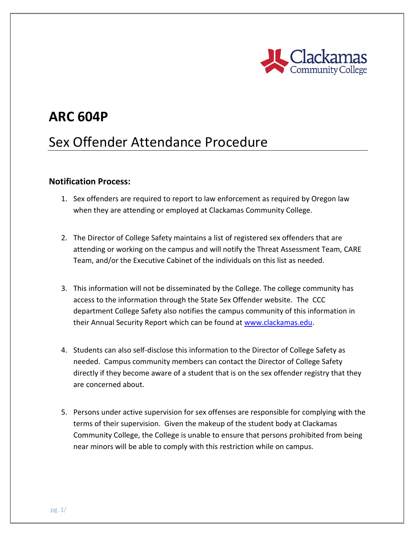

## **ARC 604P**

# Sex Offender Attendance Procedure

#### **Notification Process:**

- 1. Sex offenders are required to report to law enforcement as required by Oregon law when they are attending or employed at Clackamas Community College.
- 2. The Director of College Safety maintains a list of registered sex offenders that are attending or working on the campus and will notify the Threat Assessment Team, CARE Team, and/or the Executive Cabinet of the individuals on this list as needed.
- 3. This information will not be disseminated by the College. The college community has access to the information through the State Sex Offender website. The CCC department College Safety also notifies the campus community of this information in their Annual Security Report which can be found at [www.clackamas.edu.](http://www.clackamas.edu/)
- 4. Students can also self-disclose this information to the Director of College Safety as needed. Campus community members can contact the Director of College Safety directly if they become aware of a student that is on the sex offender registry that they are concerned about.
- 5. Persons under active supervision for sex offenses are responsible for complying with the terms of their supervision. Given the makeup of the student body at Clackamas Community College, the College is unable to ensure that persons prohibited from being near minors will be able to comply with this restriction while on campus.